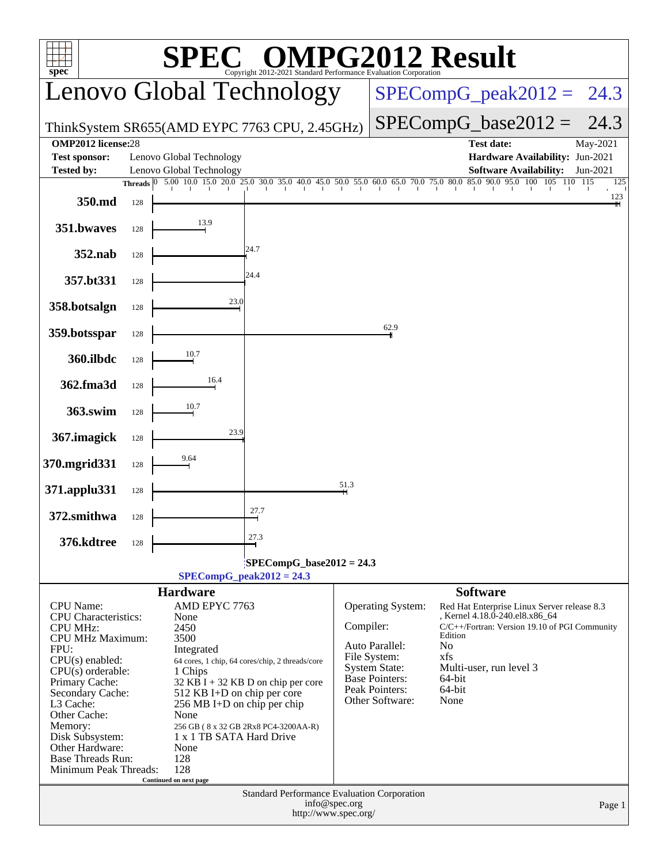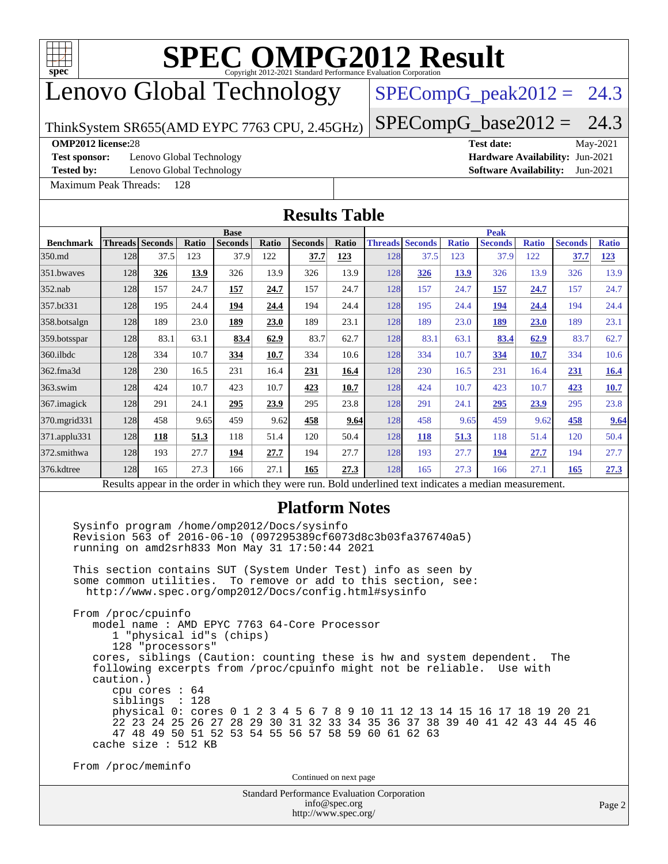

# Lenovo Global Technology

## $SPECompG_peak2012 = 24.3$  $SPECompG_peak2012 = 24.3$

ThinkSystem SR655(AMD EYPC 7763 CPU, 2.45GHz)

 $SPECompG_base2012 = 24.3$  $SPECompG_base2012 = 24.3$ 

### **[OMP2012 license:](http://www.spec.org/auto/omp2012/Docs/result-fields.html#OMP2012license)**28 **[Test date:](http://www.spec.org/auto/omp2012/Docs/result-fields.html#Testdate)** May-2021

**[Test sponsor:](http://www.spec.org/auto/omp2012/Docs/result-fields.html#Testsponsor)** Lenovo Global Technology **[Hardware Availability:](http://www.spec.org/auto/omp2012/Docs/result-fields.html#HardwareAvailability)** Jun-2021

**[Tested by:](http://www.spec.org/auto/omp2012/Docs/result-fields.html#Testedby)** Lenovo Global Technology **[Software Availability:](http://www.spec.org/auto/omp2012/Docs/result-fields.html#SoftwareAvailability)** Jun-2021

[Maximum Peak Threads:](http://www.spec.org/auto/omp2012/Docs/result-fields.html#MaximumPeakThreads) 128

|                            |                                                        |                                                  |              |                                                                                                                                                                                                                                                                                                                                                                                                                                            |              | <b>Results Table</b>                               |               |                               |      |                     |                                                                                                                                                                                                                                 |                     |                |              |
|----------------------------|--------------------------------------------------------|--------------------------------------------------|--------------|--------------------------------------------------------------------------------------------------------------------------------------------------------------------------------------------------------------------------------------------------------------------------------------------------------------------------------------------------------------------------------------------------------------------------------------------|--------------|----------------------------------------------------|---------------|-------------------------------|------|---------------------|---------------------------------------------------------------------------------------------------------------------------------------------------------------------------------------------------------------------------------|---------------------|----------------|--------------|
|                            |                                                        |                                                  |              | <b>Base</b>                                                                                                                                                                                                                                                                                                                                                                                                                                |              |                                                    |               |                               |      |                     | <b>Peak</b>                                                                                                                                                                                                                     |                     |                |              |
| <b>Benchmark</b><br>350.md | 128                                                    | Threads Seconds<br>37.5                          | Ratio<br>123 | <b>Seconds</b><br>37.9                                                                                                                                                                                                                                                                                                                                                                                                                     | Ratio<br>122 | <b>Seconds</b>                                     | Ratio         | <b>Threads Seconds</b><br>128 | 37.5 | <b>Ratio</b><br>123 | <b>Seconds</b><br>37.9                                                                                                                                                                                                          | <b>Ratio</b><br>122 | <b>Seconds</b> | <b>Ratio</b> |
| 351.bwaves                 | 128                                                    | 326                                              | 13.9         | 326                                                                                                                                                                                                                                                                                                                                                                                                                                        | 13.9         | 37.7<br>326                                        | 123<br>13.9   | 128                           | 326  | <b>13.9</b>         | 326                                                                                                                                                                                                                             | 13.9                | 37.7<br>326    | 123<br>13.9  |
| $352$ .nab                 | 128                                                    | 157                                              | 24.7         | 157                                                                                                                                                                                                                                                                                                                                                                                                                                        | 24.7         | 157                                                | 24.7          | 128                           | 157  | 24.7                | 157                                                                                                                                                                                                                             | 24.7                | 157            | 24.7         |
| 357.bt331                  | 128                                                    | 195                                              | 24.4         | 194                                                                                                                                                                                                                                                                                                                                                                                                                                        | 24.4         | 194                                                | 24.4          | 128                           | 195  | 24.4                | 194                                                                                                                                                                                                                             | 24.4                | 194            | 24.4         |
| 358.botsalgn               | 128                                                    | 189                                              | 23.0         | 189                                                                                                                                                                                                                                                                                                                                                                                                                                        | 23.0         | 189                                                | 23.1          | 128                           | 189  | 23.0                | 189                                                                                                                                                                                                                             | 23.0                | 189            | 23.1         |
| 359.botsspar               | 128                                                    | 83.1                                             | 63.1         | 83.4                                                                                                                                                                                                                                                                                                                                                                                                                                       | 62.9         | 83.7                                               | 62.7          | 128                           | 83.1 | 63.1                | 83.4                                                                                                                                                                                                                            | 62.9                | 83.7           | 62.7         |
| 360.ilbdc                  | 128                                                    | 334                                              | 10.7         | 334                                                                                                                                                                                                                                                                                                                                                                                                                                        | 10.7         | 334                                                | 10.6          | 128                           | 334  | 10.7                | 334                                                                                                                                                                                                                             | 10.7                | 334            | 10.6         |
| 362.fma3d                  | 128                                                    | 230                                              | 16.5         | 231                                                                                                                                                                                                                                                                                                                                                                                                                                        | 16.4         | 231                                                | 16.4          | 128                           | 230  | 16.5                | 231                                                                                                                                                                                                                             | 16.4                | 231            | 16.4         |
| $363$ .swim                | 128                                                    | 424                                              | 10.7         | 423                                                                                                                                                                                                                                                                                                                                                                                                                                        | 10.7         | 423                                                | 10.7          | 128                           | 424  | 10.7                | 423                                                                                                                                                                                                                             | 10.7                | 423            | 10.7         |
| 367. imagick               | 128                                                    | 291                                              | 24.1         | 295                                                                                                                                                                                                                                                                                                                                                                                                                                        | 23.9         | 295                                                | 23.8          | 128                           | 291  | 24.1                | 295                                                                                                                                                                                                                             | 23.9                | 295            | 23.8         |
| 370.mgrid331               | 128                                                    | 458                                              | 9.65         | 459                                                                                                                                                                                                                                                                                                                                                                                                                                        | 9.62         | 458                                                | 9.64          | 128                           | 458  | 9.65                | 459                                                                                                                                                                                                                             | 9.62                | 458            | 9.64         |
| 371.applu331               | 128                                                    | 118                                              | 51.3         | 118                                                                                                                                                                                                                                                                                                                                                                                                                                        | 51.4         | 120                                                | 50.4          | 128                           | 118  | 51.3                | 118                                                                                                                                                                                                                             | 51.4                | 120            | 50.4         |
| 372.smithwa                | 128                                                    | 193                                              | 27.7         | 194                                                                                                                                                                                                                                                                                                                                                                                                                                        | 27.7         | 194                                                | 27.7          | 128                           | 193  | 27.7                | 194                                                                                                                                                                                                                             | 27.7                | 194            | 27.7         |
| 376.kdtree                 | 128                                                    | 165                                              | 27.3         | 166                                                                                                                                                                                                                                                                                                                                                                                                                                        | 27.1         | 165                                                | 27.3          | 128                           | 165  | 27.3                | 166                                                                                                                                                                                                                             | 27.1                | <b>165</b>     | 27.3         |
|                            |                                                        |                                                  |              |                                                                                                                                                                                                                                                                                                                                                                                                                                            |              |                                                    |               |                               |      |                     | Results appear in the order in which they were run. Bold underlined text indicates a median measurement.                                                                                                                        |                     |                |              |
|                            | From /proc/cpuinfo<br>caution.)<br>cache size : 512 KB | 128 "processors"<br>cpu cores $: 64$<br>siblings | : 128        | running on amd2srh833 Mon May 31 17:50:44 2021<br>This section contains SUT (System Under Test) info as seen by<br>some common utilities. To remove or add to this section, see:<br>http://www.spec.org/omp2012/Docs/config.html#sysinfo<br>model name : AMD EPYC 7763 64-Core Processor<br>1 "physical id"s (chips)<br>following excerpts from /proc/cpuinfo might not be reliable.<br>47 48 49 50 51 52 53 54 55 56 57 58 59 60 61 62 63 |              |                                                    |               |                               |      |                     | cores, siblings (Caution: counting these is hw and system dependent.<br>physical 0: cores 0 1 2 3 4 5 6 7 8 9 10 11 12 13 14 15 16 17 18 19 20 21<br>22 23 24 25 26 27 28 29 30 31 32 33 34 35 36 37 38 39 40 41 42 43 44 45 46 | Use with            | The            |              |
|                            | From /proc/meminfo                                     |                                                  |              |                                                                                                                                                                                                                                                                                                                                                                                                                                            |              | Continued on next page                             |               |                               |      |                     |                                                                                                                                                                                                                                 |                     |                |              |
|                            |                                                        |                                                  |              |                                                                                                                                                                                                                                                                                                                                                                                                                                            |              | <b>Standard Performance Evaluation Corporation</b> |               |                               |      |                     |                                                                                                                                                                                                                                 |                     |                |              |
|                            |                                                        |                                                  |              |                                                                                                                                                                                                                                                                                                                                                                                                                                            |              | http://www.spec.org/                               | info@spec.org |                               |      |                     |                                                                                                                                                                                                                                 |                     |                | Page 2       |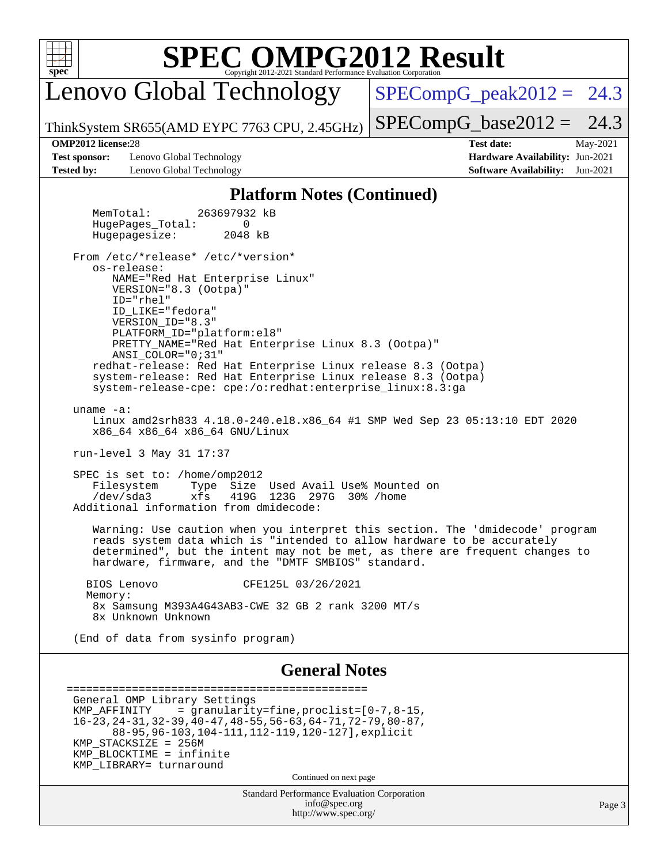

Lenovo Global Technology

 $SPECompG_peak2012 = 24.3$  $SPECompG_peak2012 = 24.3$ 

ThinkSystem SR655(AMD EYPC 7763 CPU, 2.45GHz)

 $SPECompG_base2012 = 24.3$  $SPECompG_base2012 = 24.3$ 

**[Test sponsor:](http://www.spec.org/auto/omp2012/Docs/result-fields.html#Testsponsor)** Lenovo Global Technology **[Hardware Availability:](http://www.spec.org/auto/omp2012/Docs/result-fields.html#HardwareAvailability)** Jun-2021 **[Tested by:](http://www.spec.org/auto/omp2012/Docs/result-fields.html#Testedby)** Lenovo Global Technology **[Software Availability:](http://www.spec.org/auto/omp2012/Docs/result-fields.html#SoftwareAvailability)** Jun-2021

**[OMP2012 license:](http://www.spec.org/auto/omp2012/Docs/result-fields.html#OMP2012license)**28 **[Test date:](http://www.spec.org/auto/omp2012/Docs/result-fields.html#Testdate)** May-2021

## **[Platform Notes \(Continued\)](http://www.spec.org/auto/omp2012/Docs/result-fields.html#PlatformNotes)**

 MemTotal: 263697932 kB HugePages Total: 0 Hugepagesize: 2048 kB From /etc/\*release\* /etc/\*version\* os-release: NAME="Red Hat Enterprise Linux" VERSION="8.3 (Ootpa)" ID="rhel" ID\_LIKE="fedora" VERSION\_ID="8.3" PLATFORM\_ID="platform:el8" PRETTY\_NAME="Red Hat Enterprise Linux 8.3 (Ootpa)" ANSI\_COLOR="0;31" redhat-release: Red Hat Enterprise Linux release 8.3 (Ootpa) system-release: Red Hat Enterprise Linux release 8.3 (Ootpa) system-release-cpe: cpe:/o:redhat:enterprise\_linux:8.3:ga uname -a: Linux amd2srh833 4.18.0-240.el8.x86\_64 #1 SMP Wed Sep 23 05:13:10 EDT 2020 x86\_64 x86\_64 x86\_64 GNU/Linux run-level 3 May 31 17:37 SPEC is set to: /home/omp2012<br>Filesystem Type Size Type Size Used Avail Use% Mounted on /dev/sda3 xfs 419G 123G 297G 30% /home Additional information from dmidecode: Warning: Use caution when you interpret this section. The 'dmidecode' program reads system data which is "intended to allow hardware to be accurately determined", but the intent may not be met, as there are frequent changes to hardware, firmware, and the "DMTF SMBIOS" standard. BIOS Lenovo CFE125L 03/26/2021 Memory: 8x Samsung M393A4G43AB3-CWE 32 GB 2 rank 3200 MT/s 8x Unknown Unknown (End of data from sysinfo program) **[General Notes](http://www.spec.org/auto/omp2012/Docs/result-fields.html#GeneralNotes)** ============================================== General OMP Library Settings KMP\_AFFINITY = granularity=fine,proclist=[0-7,8-15, 16-23,24-31,32-39,40-47,48-55,56-63,64-71,72-79,80-87, 88-95,96-103,104-111,112-119,120-127],explicit KMP\_STACKSIZE = 256M KMP\_BLOCKTIME = infinite KMP\_LIBRARY = turnaround

Continued on next page

Standard Performance Evaluation Corporation [info@spec.org](mailto:info@spec.org) <http://www.spec.org/>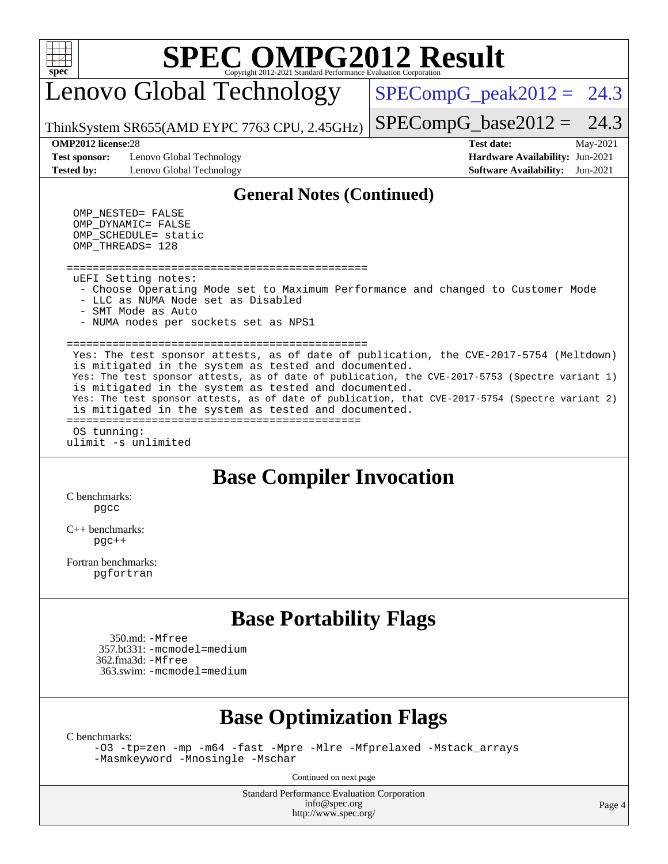Lenovo Global Technology

 $SPECompG_peak2012 = 24.3$  $SPECompG_peak2012 = 24.3$ 

ThinkSystem SR655(AMD EYPC 7763 CPU, 2.45GHz)  $SPECompG_base2012 = 24.3$  $SPECompG_base2012 = 24.3$ 

**[Test sponsor:](http://www.spec.org/auto/omp2012/Docs/result-fields.html#Testsponsor)** Lenovo Global Technology **[Hardware Availability:](http://www.spec.org/auto/omp2012/Docs/result-fields.html#HardwareAvailability)** Jun-2021 **[Tested by:](http://www.spec.org/auto/omp2012/Docs/result-fields.html#Testedby)** Lenovo Global Technology **[Software Availability:](http://www.spec.org/auto/omp2012/Docs/result-fields.html#SoftwareAvailability)** Jun-2021

**[OMP2012 license:](http://www.spec.org/auto/omp2012/Docs/result-fields.html#OMP2012license)**28 **[Test date:](http://www.spec.org/auto/omp2012/Docs/result-fields.html#Testdate)** May-2021

### **[General Notes \(Continued\)](http://www.spec.org/auto/omp2012/Docs/result-fields.html#GeneralNotes)**

 OMP\_NESTED = FALSE OMP\_DYNAMIC = FALSE  $OMP\_SCHEDULE$  = static OMP\_THREADS = 128

==============================================

uEFI Setting notes:

- Choose Operating Mode set to Maximum Performance and changed to Customer Mode - LLC as NUMA Node set as Disabled
- SMT Mode as Auto
- NUMA nodes per sockets set as NPS1

============================================== Yes: The test sponsor attests, as of date of publication, the CVE-2017-5754 (Meltdown) is mitigated in the system as tested and documented. Yes: The test sponsor attests, as of date of publication, the CVE-2017-5753 (Spectre variant 1) is mitigated in the system as tested and documented. Yes: The test sponsor attests, as of date of publication, that CVE-2017-5754 (Spectre variant 2) is mitigated in the system as tested and documented. ============================================= OS tunning:

ulimit -s unlimited

## **[Base Compiler Invocation](http://www.spec.org/auto/omp2012/Docs/result-fields.html#BaseCompilerInvocation)**

[C benchmarks](http://www.spec.org/auto/omp2012/Docs/result-fields.html#Cbenchmarks): [pgcc](http://www.spec.org/omp2012/results/res2021q2/omp2012-20210531-00203.flags.html#user_CCbase_pgcc_fcce2a96867ea3998f4ff21c79d3857c)

[C++ benchmarks:](http://www.spec.org/auto/omp2012/Docs/result-fields.html#CXXbenchmarks) [pgc++](http://www.spec.org/omp2012/results/res2021q2/omp2012-20210531-00203.flags.html#user_CXXbase_pgcpp_e5fc4a0ead554906661557a60ef932e8)

[Fortran benchmarks](http://www.spec.org/auto/omp2012/Docs/result-fields.html#Fortranbenchmarks): [pgfortran](http://www.spec.org/omp2012/results/res2021q2/omp2012-20210531-00203.flags.html#user_FCbase_pgfortran_08741e282245326e7aab55a06555a99d)

## **[Base Portability Flags](http://www.spec.org/auto/omp2012/Docs/result-fields.html#BasePortabilityFlags)**

 350.md: [-Mfree](http://www.spec.org/omp2012/results/res2021q2/omp2012-20210531-00203.flags.html#user_baseFPORTABILITY350_md_f-Mfree) 357.bt331: [-mcmodel=medium](http://www.spec.org/omp2012/results/res2021q2/omp2012-20210531-00203.flags.html#user_baseFPORTABILITY357_bt331_f-mcmodel_3a41622424bdd074c4f0f2d2f224c7e5) 362.fma3d: [-Mfree](http://www.spec.org/omp2012/results/res2021q2/omp2012-20210531-00203.flags.html#user_baseFPORTABILITY362_fma3d_f-Mfree) 363.swim: [-mcmodel=medium](http://www.spec.org/omp2012/results/res2021q2/omp2012-20210531-00203.flags.html#user_baseFPORTABILITY363_swim_f-mcmodel_3a41622424bdd074c4f0f2d2f224c7e5)

## **[Base Optimization Flags](http://www.spec.org/auto/omp2012/Docs/result-fields.html#BaseOptimizationFlags)**

[C benchmarks](http://www.spec.org/auto/omp2012/Docs/result-fields.html#Cbenchmarks):

[-O3](http://www.spec.org/omp2012/results/res2021q2/omp2012-20210531-00203.flags.html#user_CCbase_f-O3) [-tp=zen](http://www.spec.org/omp2012/results/res2021q2/omp2012-20210531-00203.flags.html#user_CCbase_f-tp_8786d3749ba9a48cf9c0402180524408) [-mp](http://www.spec.org/omp2012/results/res2021q2/omp2012-20210531-00203.flags.html#user_CCbase_f-mp) [-m64](http://www.spec.org/omp2012/results/res2021q2/omp2012-20210531-00203.flags.html#user_CCbase_f-m64) [-fast](http://www.spec.org/omp2012/results/res2021q2/omp2012-20210531-00203.flags.html#user_CCbase_f-fast) [-Mpre](http://www.spec.org/omp2012/results/res2021q2/omp2012-20210531-00203.flags.html#user_CCbase_f-Mpre) [-Mlre](http://www.spec.org/omp2012/results/res2021q2/omp2012-20210531-00203.flags.html#user_CCbase_f-Mlre) [-Mfprelaxed](http://www.spec.org/omp2012/results/res2021q2/omp2012-20210531-00203.flags.html#user_CCbase_f-Mfprelaxed) [-Mstack\\_arrays](http://www.spec.org/omp2012/results/res2021q2/omp2012-20210531-00203.flags.html#user_CCbase_f-Mstack_arrays) [-Masmkeyword](http://www.spec.org/omp2012/results/res2021q2/omp2012-20210531-00203.flags.html#user_CCbase_f-Masmkeyword) [-Mnosingle](http://www.spec.org/omp2012/results/res2021q2/omp2012-20210531-00203.flags.html#user_CCbase_f-Mnosingle) [-Mschar](http://www.spec.org/omp2012/results/res2021q2/omp2012-20210531-00203.flags.html#user_CCbase_f-Mschar)

Continued on next page

Standard Performance Evaluation Corporation [info@spec.org](mailto:info@spec.org) <http://www.spec.org/>

Page 4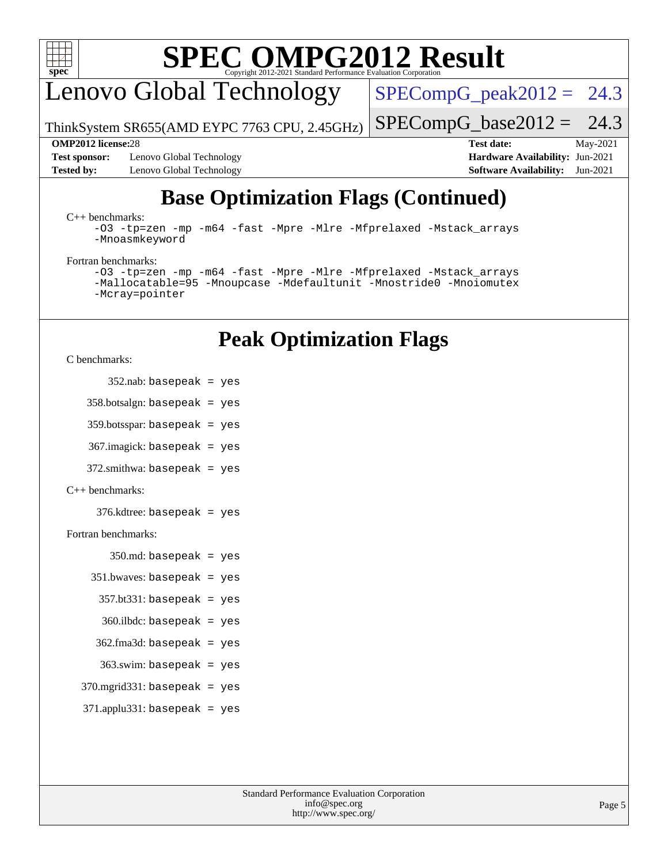

Lenovo Global Technology

 $SPECompG_peak2012 = 24.3$  $SPECompG_peak2012 = 24.3$ 

ThinkSystem SR655(AMD EYPC 7763 CPU, 2.45GHz)  $SPECompG_base2012 = 24.3$  $SPECompG_base2012 = 24.3$ 

**[Test sponsor:](http://www.spec.org/auto/omp2012/Docs/result-fields.html#Testsponsor)** Lenovo Global Technology **[Hardware Availability:](http://www.spec.org/auto/omp2012/Docs/result-fields.html#HardwareAvailability)** Jun-2021 **[Tested by:](http://www.spec.org/auto/omp2012/Docs/result-fields.html#Testedby)** Lenovo Global Technology **[Software Availability:](http://www.spec.org/auto/omp2012/Docs/result-fields.html#SoftwareAvailability)** Jun-2021

**[OMP2012 license:](http://www.spec.org/auto/omp2012/Docs/result-fields.html#OMP2012license)**28 **[Test date:](http://www.spec.org/auto/omp2012/Docs/result-fields.html#Testdate)** May-2021

# **[Base Optimization Flags \(Continued\)](http://www.spec.org/auto/omp2012/Docs/result-fields.html#BaseOptimizationFlags)**

### [C++ benchmarks:](http://www.spec.org/auto/omp2012/Docs/result-fields.html#CXXbenchmarks)

[-O3](http://www.spec.org/omp2012/results/res2021q2/omp2012-20210531-00203.flags.html#user_CXXbase_f-O3) [-tp=zen](http://www.spec.org/omp2012/results/res2021q2/omp2012-20210531-00203.flags.html#user_CXXbase_f-tp_8786d3749ba9a48cf9c0402180524408) [-mp](http://www.spec.org/omp2012/results/res2021q2/omp2012-20210531-00203.flags.html#user_CXXbase_f-mp) [-m64](http://www.spec.org/omp2012/results/res2021q2/omp2012-20210531-00203.flags.html#user_CXXbase_f-m64) [-fast](http://www.spec.org/omp2012/results/res2021q2/omp2012-20210531-00203.flags.html#user_CXXbase_f-fast) [-Mpre](http://www.spec.org/omp2012/results/res2021q2/omp2012-20210531-00203.flags.html#user_CXXbase_f-Mpre) [-Mlre](http://www.spec.org/omp2012/results/res2021q2/omp2012-20210531-00203.flags.html#user_CXXbase_f-Mlre) [-Mfprelaxed](http://www.spec.org/omp2012/results/res2021q2/omp2012-20210531-00203.flags.html#user_CXXbase_f-Mfprelaxed) [-Mstack\\_arrays](http://www.spec.org/omp2012/results/res2021q2/omp2012-20210531-00203.flags.html#user_CXXbase_f-Mstack_arrays) [-Mnoasmkeyword](http://www.spec.org/omp2012/results/res2021q2/omp2012-20210531-00203.flags.html#user_CXXbase_f-Mnoasmkeyword)

### [Fortran benchmarks](http://www.spec.org/auto/omp2012/Docs/result-fields.html#Fortranbenchmarks):

```
-O3 -tp=zen -mp -m64 -fast -Mpre -Mlre -Mfprelaxed -Mstack_arrays
-Mallocatable=95 -Mnoupcase -Mdefaultunit -Mnostride0 -Mnoiomutex
-Mcray=pointer
```
## **[Peak Optimization Flags](http://www.spec.org/auto/omp2012/Docs/result-fields.html#PeakOptimizationFlags)**

[C benchmarks](http://www.spec.org/auto/omp2012/Docs/result-fields.html#Cbenchmarks):

```
352.nab: basepeak = yes
```
 $358.$ botsalgn: basepeak = yes

359.botsspar: basepeak = yes

367.imagick: basepeak = yes

372.smithwa: basepeak = yes

### [C++ benchmarks:](http://www.spec.org/auto/omp2012/Docs/result-fields.html#CXXbenchmarks)

376.kdtree: basepeak = yes

### [Fortran benchmarks](http://www.spec.org/auto/omp2012/Docs/result-fields.html#Fortranbenchmarks):

 $350$ .md: basepeak = yes

```
 351.bwaves: basepeak = yes
```

```
357.bt331: basepeak = yes
```

```
 360.ilbdc: basepeak = yes
```
- $362$ .fma3d: basepeak = yes
- $363$ .swim: basepeak = yes
- $370$ .mgrid $331$ : basepeak = yes
- $371$ .applu $331$ : basepeak = yes